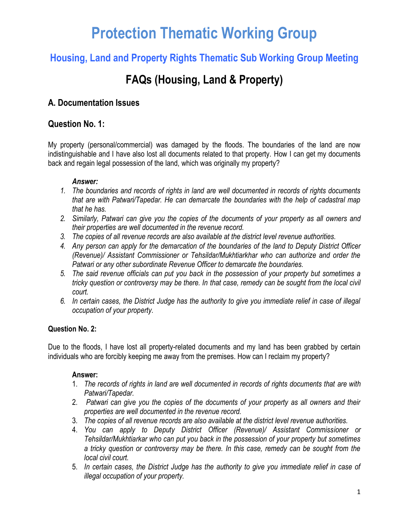# **Protection Thematic Working Group**

# **Housing, Land and Property Rights Thematic Sub Working Group Meeting**

# **FAQs (Housing, Land & Property)**

# **A. Documentation Issues**

# **Question No. 1:**

My property (personal/commercial) was damaged by the floods. The boundaries of the land are now indistinguishable and I have also lost all documents related to that property. How I can get my documents back and regain legal possession of the land, which was originally my property?

#### *Answer:*

- *1. The boundaries and records of rights in land are well documented in records of rights documents that are with Patwari/Tapedar. He can demarcate the boundaries with the help of cadastral map that he has.*
- *2. Similarly, Patwari can give you the copies of the documents of your property as all owners and their properties are well documented in the revenue record.*
- *3. The copies of all revenue records are also available at the district level revenue authorities.*
- *4. Any person can apply for the demarcation of the boundaries of the land to Deputy District Officer (Revenue)/ Assistant Commissioner or Tehsildar/Mukhtiarkhar who can authorize and order the Patwari or any other subordinate Revenue Officer to demarcate the boundaries.*
- *5. The said revenue officials can put you back in the possession of your property but sometimes a tricky question or controversy may be there. In that case, remedy can be sought from the local civil court.*
- *6. In certain cases, the District Judge has the authority to give you immediate relief in case of illegal occupation of your property.*

#### **Question No. 2:**

Due to the floods, I have lost all property-related documents and my land has been grabbed by certain individuals who are forcibly keeping me away from the premises. How can I reclaim my property?

#### **Answer:**

- 1. *The records of rights in land are well documented in records of rights documents that are with Patwari/Tapedar.*
- 2. *Patwari can give you the copies of the documents of your property as all owners and their properties are well documented in the revenue record.*
- 3. *The copies of all revenue records are also available at the district level revenue authorities.*
- 4. *You can apply to Deputy District Officer (Revenue)/ Assistant Commissioner or Tehsildar/Mukhtiarkar who can put you back in the possession of your property but sometimes a tricky question or controversy may be there. In this case, remedy can be sought from the local civil court.*
- 5. *In certain cases, the District Judge has the authority to give you immediate relief in case of illegal occupation of your property.*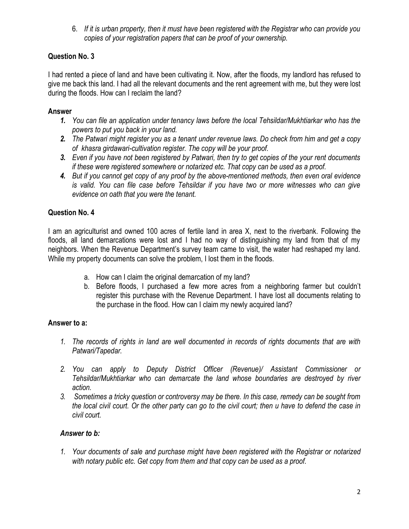6. *If it is urban property, then it must have been registered with the Registrar who can provide you copies of your registration papers that can be proof of your ownership.*

## **Question No. 3**

I had rented a piece of land and have been cultivating it. Now, after the floods, my landlord has refused to give me back this land. I had all the relevant documents and the rent agreement with me, but they were lost during the floods. How can I reclaim the land?

### **Answer**

- *1. You can file an application under tenancy laws before the local Tehsildar/Mukhtiarkar who has the powers to put you back in your land.*
- *2. The Patwari might register you as a tenant under revenue laws. Do check from him and get a copy of khasra girdawari-cultivation register. The copy will be your proof.*
- *3. Even if you have not been registered by Patwari, then try to get copies of the your rent documents if these were registered somewhere or notarized etc. That copy can be used as a proof.*
- *4. But if you cannot get copy of any proof by the above-mentioned methods, then even oral evidence is valid. You can file case before Tehsildar if you have two or more witnesses who can give evidence on oath that you were the tenant.*

## **Question No. 4**

I am an agriculturist and owned 100 acres of fertile land in area X, next to the riverbank. Following the floods, all land demarcations were lost and I had no way of distinguishing my land from that of my neighbors. When the Revenue Department's survey team came to visit, the water had reshaped my land. While my property documents can solve the problem, I lost them in the floods.

- a. How can I claim the original demarcation of my land?
- b. Before floods, I purchased a few more acres from a neighboring farmer but couldn't register this purchase with the Revenue Department. I have lost all documents relating to the purchase in the flood. How can I claim my newly acquired land?

### **Answer to a:**

- *1. The records of rights in land are well documented in records of rights documents that are with Patwari/Tapedar.*
- *2. You can apply to Deputy District Officer (Revenue)/ Assistant Commissioner or Tehsildar/Mukhtiarkar who can demarcate the land whose boundaries are destroyed by river action.*
- *3. Sometimes a tricky question or controversy may be there. In this case, remedy can be sought from the local civil court. Or the other party can go to the civil court; then u have to defend the case in civil court.*

### *Answer to b:*

*1. Your documents of sale and purchase might have been registered with the Registrar or notarized with notary public etc. Get copy from them and that copy can be used as a proof.*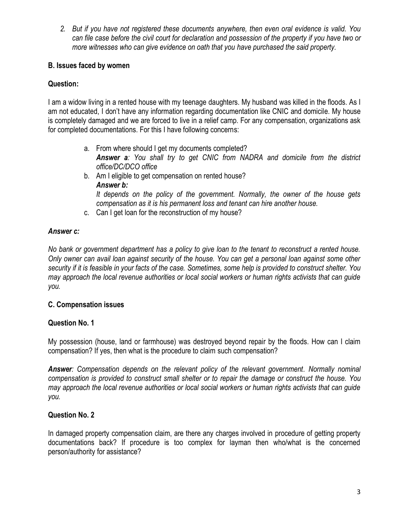*2. But if you have not registered these documents anywhere, then even oral evidence is valid. You can file case before the civil court for declaration and possession of the property if you have two or more witnesses who can give evidence on oath that you have purchased the said property.* 

#### **B. Issues faced by women**

#### **Question:**

I am a widow living in a rented house with my teenage daughters. My husband was killed in the floods. As I am not educated, I don't have any information regarding documentation like CNIC and domicile. My house is completely damaged and we are forced to live in a relief camp. For any compensation, organizations ask for completed documentations. For this I have following concerns:

- a. From where should I get my documents completed? *Answer a: You shall try to get CNIC from NADRA and domicile from the district office/DC/DCO office*
- b. Am I eligible to get compensation on rented house? *Answer b: It depends on the policy of the government. Normally, the owner of the house gets compensation as it is his permanent loss and tenant can hire another house.*
- c. Can I get loan for the reconstruction of my house?

### *Answer c:*

*No bank or government department has a policy to give loan to the tenant to reconstruct a rented house. Only owner can avail loan against security of the house. You can get a personal loan against some other security if it is feasible in your facts of the case. Sometimes, some help is provided to construct shelter. You may approach the local revenue authorities or local social workers or human rights activists that can guide you.* 

#### **C. Compensation issues**

### **Question No. 1**

My possession (house, land or farmhouse) was destroyed beyond repair by the floods. How can I claim compensation? If yes, then what is the procedure to claim such compensation?

*Answer: Compensation depends on the relevant policy of the relevant government. Normally nominal compensation is provided to construct small shelter or to repair the damage or construct the house. You may approach the local revenue authorities or local social workers or human rights activists that can guide you.* 

### **Question No. 2**

In damaged property compensation claim, are there any charges involved in procedure of getting property documentations back? If procedure is too complex for layman then who/what is the concerned person/authority for assistance?